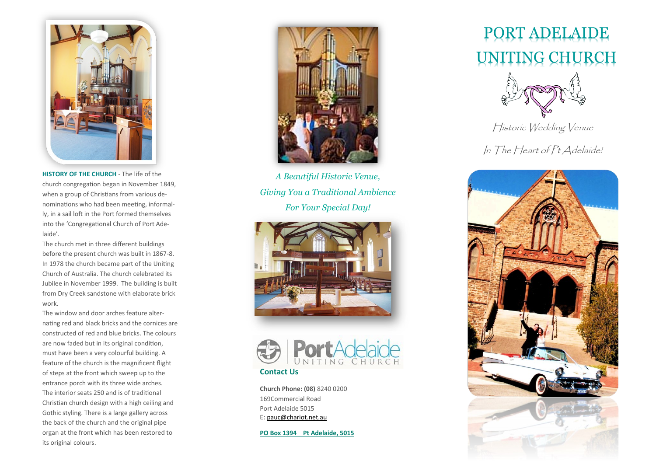

**HISTORY OF THE CHURCH** - The life of the church congregation began in November 1849, when a group of Christians from various denominations who had been meeting, informally, in a sail loft in the Port formed themselves into the 'Congregational Church of Port Adelaide'.

The church met in three different buildings before the present church was built in 1867-8. In 1978 the church became part of the Uniting Church of Australia. The church celebrated its Jubilee in November 1999. The building is built from Dry Creek sandstone with elaborate brick work.

The window and door arches feature alternating red and black bricks and the cornices are constructed of red and blue bricks. The colours are now faded but in its original condition, must have been a very colourful building. A feature of the church is the magnificent flight of steps at the front which sweep up to the entrance porch with its three wide arches. The interior seats 250 and is of traditional Christian church design with a high ceiling and Gothic styling. There is a large gallery across the back of the church and the original pipe organ at the front which has been restored to its original colours.



*A Beautiful Historic Venue, Giving You a Traditional Ambience For Your Special Day!*





**Church Phone: (08)** 8240 0200 169Commercial Road Port Adelaide 5015 E: [pauc@chariot.net.au](mailto:pauc@chariot.net.au)

**PO Box 1394 Pt Adelaide, 5015**

# PORT ADELAIDE UNITING CHURCH



Historic Wedding Venue

In The Heart of Pt Adelaide!